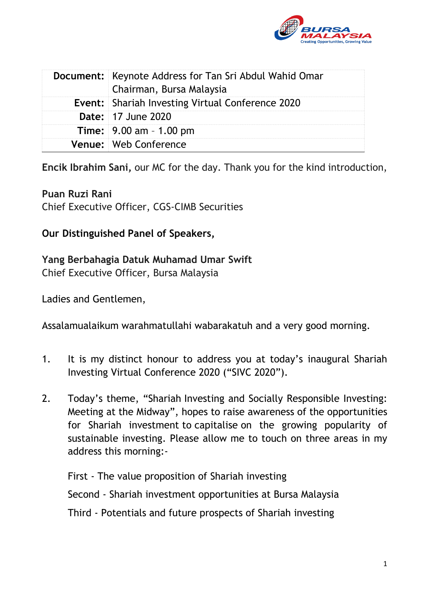

| <b>Document:</b> Keynote Address for Tan Sri Abdul Wahid Omar<br>Chairman, Bursa Malaysia |
|-------------------------------------------------------------------------------------------|
| <b>Event:</b> Shariah Investing Virtual Conference 2020                                   |
| <b>Date: 17 June 2020</b>                                                                 |
| Time: 9.00 am - 1.00 pm                                                                   |
| Venue: Web Conference                                                                     |

**Encik Ibrahim Sani,** our MC for the day. Thank you for the kind introduction,

#### **Puan Ruzi Rani**

Chief Executive Officer, CGS-CIMB Securities

#### **Our Distinguished Panel of Speakers,**

#### **Yang Berbahagia Datuk Muhamad Umar Swift**

Chief Executive Officer, Bursa Malaysia

Ladies and Gentlemen,

Assalamualaikum warahmatullahi wabarakatuh and a very good morning.

- 1. It is my distinct honour to address you at today's inaugural Shariah Investing Virtual Conference 2020 ("SIVC 2020").
- 2. Today's theme, "Shariah Investing and Socially Responsible Investing: Meeting at the Midway", hopes to raise awareness of the opportunities for Shariah investment to capitalise on the growing popularity of sustainable investing. Please allow me to touch on three areas in my address this morning:-

First - The value proposition of Shariah investing Second - Shariah investment opportunities at Bursa Malaysia Third - Potentials and future prospects of Shariah investing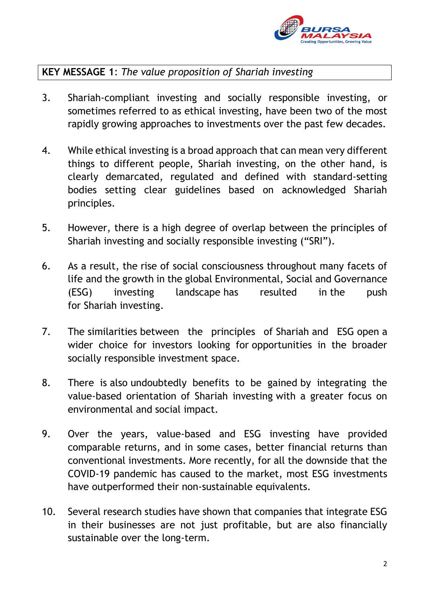

# **KEY MESSAGE 1**: *The value proposition of Shariah investing*

- 3. Shariah-compliant investing and socially responsible investing, or sometimes referred to as ethical investing, have been two of the most rapidly growing approaches to investments over the past few decades.
- 4. While ethical investing is a broad approach that can mean very different things to different people, Shariah investing, on the other hand, is clearly demarcated, regulated and defined with standard-setting bodies setting clear guidelines based on acknowledged Shariah principles.
- 5. However, there is a high degree of overlap between the principles of Shariah investing and socially responsible investing ("SRI").
- 6. As a result, the rise of social consciousness throughout many facets of life and the growth in the global Environmental, Social and Governance (ESG) investing landscape has resulted in the push for Shariah investing.
- 7. The similarities between the principles of Shariah and ESG open a wider choice for investors looking for opportunities in the broader socially responsible investment space.
- 8. There is also undoubtedly benefits to be gained by integrating the value-based orientation of Shariah investing with a greater focus on environmental and social impact.
- 9. Over the years, value-based and ESG investing have provided comparable returns, and in some cases, better financial returns than conventional investments. More recently, for all the downside that the COVID-19 pandemic has caused to the market, most ESG investments have outperformed their non-sustainable equivalents.
- 10. Several research studies have shown that companies that integrate ESG in their businesses are not just profitable, but are also financially sustainable over the long-term.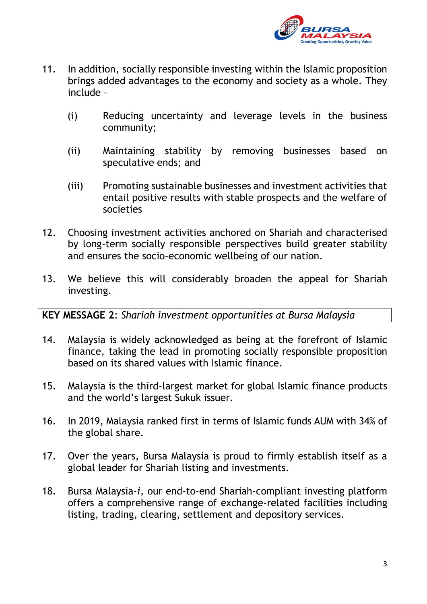

- 11. In addition, socially responsible investing within the Islamic proposition brings added advantages to the economy and society as a whole. They include –
	- (i) Reducing uncertainty and leverage levels in the business community;
	- (ii) Maintaining stability by removing businesses based on speculative ends; and
	- (iii) Promoting sustainable businesses and investment activities that entail positive results with stable prospects and the welfare of societies
- 12. Choosing investment activities anchored on Shariah and characterised by long-term socially responsible perspectives build greater stability and ensures the socio-economic wellbeing of our nation.
- 13. We believe this will considerably broaden the appeal for Shariah investing.

# **KEY MESSAGE 2**: *Shariah investment opportunities at Bursa Malaysia*

- 14. Malaysia is widely acknowledged as being at the forefront of Islamic finance, taking the lead in promoting socially responsible proposition based on its shared values with Islamic finance.
- 15. Malaysia is the third-largest market for global Islamic finance products and the world's largest Sukuk issuer.
- 16. In 2019, Malaysia ranked first in terms of Islamic funds AUM with 34% of the global share.
- 17. Over the years, Bursa Malaysia is proud to firmly establish itself as a global leader for Shariah listing and investments.
- 18. Bursa Malaysia-*i*, our end-to-end Shariah-compliant investing platform offers a comprehensive range of exchange-related facilities including listing, trading, clearing, settlement and depository services.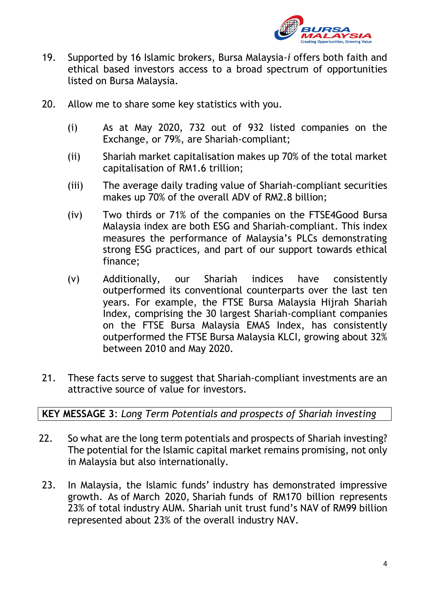

- 19. Supported by 16 Islamic brokers, Bursa Malaysia-*i* offers both faith and ethical based investors access to a broad spectrum of opportunities listed on Bursa Malaysia.
- 20. Allow me to share some key statistics with you.
	- (i) As at May 2020, 732 out of 932 listed companies on the Exchange, or 79%, are Shariah-compliant;
	- (ii) Shariah market capitalisation makes up 70% of the total market capitalisation of RM1.6 trillion;
	- (iii) The average daily trading value of Shariah-compliant securities makes up 70% of the overall ADV of RM2.8 billion;
	- (iv) Two thirds or 71% of the companies on the FTSE4Good Bursa Malaysia index are both ESG and Shariah-compliant. This index measures the performance of Malaysia's PLCs demonstrating strong ESG practices, and part of our support towards ethical finance;
	- (v) Additionally, our Shariah indices have consistently outperformed its conventional counterparts over the last ten years. For example, the FTSE Bursa Malaysia Hijrah Shariah Index, comprising the 30 largest Shariah-compliant companies on the FTSE Bursa Malaysia EMAS Index, has consistently outperformed the FTSE Bursa Malaysia KLCI, growing about 32% between 2010 and May 2020.
- 21. These facts serve to suggest that Shariah-compliant investments are an attractive source of value for investors.

# **KEY MESSAGE 3**: *Long Term Potentials and prospects of Shariah investing*

- 22. So what are the long term potentials and prospects of Shariah investing? The potential for the Islamic capital market remains promising, not only in Malaysia but also internationally.
- 23. In Malaysia, the Islamic funds' industry has demonstrated impressive growth. As of March 2020, Shariah funds of RM170 billion represents 23% of total industry AUM. Shariah unit trust fund's NAV of RM99 billion represented about 23% of the overall industry NAV.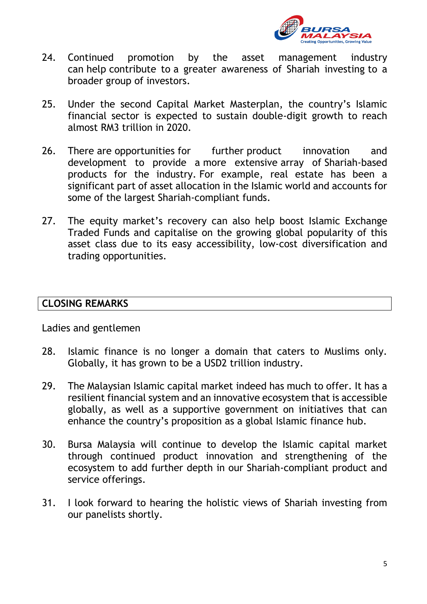

- 24. Continued promotion by the asset management industry can help contribute to a greater awareness of Shariah investing to a broader group of investors.
- 25. Under the second Capital Market Masterplan, the country's Islamic financial sector is expected to sustain double-digit growth to reach almost RM3 trillion in 2020.
- 26. There are opportunities for further product innovation and development to provide a more extensive array of Shariah-based products for the industry. For example, real estate has been a significant part of asset allocation in the Islamic world and accounts for some of the largest Shariah-compliant funds.
- 27. The equity market's recovery can also help boost Islamic Exchange Traded Funds and capitalise on the growing global popularity of this asset class due to its easy accessibility, low-cost diversification and trading opportunities.

#### **CLOSING REMARKS**

Ladies and gentlemen

- 28. Islamic finance is no longer a domain that caters to Muslims only. Globally, it has grown to be a USD2 trillion industry.
- 29. The Malaysian Islamic capital market indeed has much to offer. It has a resilient financial system and an innovative ecosystem that is accessible globally, as well as a supportive government on initiatives that can enhance the country's proposition as a global Islamic finance hub.
- 30. Bursa Malaysia will continue to develop the Islamic capital market through continued product innovation and strengthening of the ecosystem to add further depth in our Shariah-compliant product and service offerings.
- 31. I look forward to hearing the holistic views of Shariah investing from our panelists shortly.